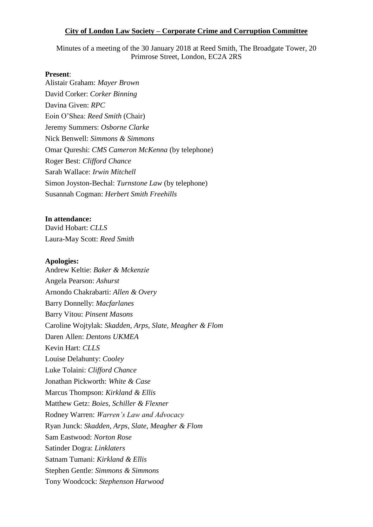#### **City of London Law Society – Corporate Crime and Corruption Committee**

Minutes of a meeting of the 30 January 2018 at Reed Smith, The Broadgate Tower, 20 Primrose Street, London, EC2A 2RS

#### **Present**:

Alistair Graham: *Mayer Brown* David Corker: *Corker Binning* Davina Given: *RPC* Eoin O'Shea: *Reed Smith* (Chair) Jeremy Summers: *Osborne Clarke* Nick Benwell: *Simmons & Simmons* Omar Qureshi: *CMS Cameron McKenna* (by telephone) Roger Best: *Clifford Chance*  Sarah Wallace: *Irwin Mitchell* Simon Joyston-Bechal: *Turnstone Law* (by telephone) Susannah Cogman: *Herbert Smith Freehills* 

### **In attendance:**

David Hobart: *CLLS* Laura-May Scott: *Reed Smith*

#### **Apologies:**

Andrew Keltie: *Baker & Mckenzie* Angela Pearson: *Ashurst* Arnondo Chakrabarti: *Allen & Overy* Barry Donnelly: *Macfarlanes* Barry Vitou: *Pinsent Masons* Caroline Wojtylak: *Skadden, Arps, Slate, Meagher & Flom* Daren Allen: *Dentons UKMEA*  Kevin Hart: *CLLS*  Louise Delahunty: *Cooley* Luke Tolaini: *Clifford Chance* Jonathan Pickworth: *White & Case* Marcus Thompson: *Kirkland & Ellis*  Matthew Getz: *Boies, Schiller & Flexner* Rodney Warren: *Warren's Law and Advocacy*  Ryan Junck: *Skadden, Arps, Slate, Meagher & Flom* Sam Eastwood: *Norton Rose* Satinder Dogra: *Linklaters* Satnam Tumani: *Kirkland & Ellis* Stephen Gentle: *Simmons & Simmons*  Tony Woodcock: *Stephenson Harwood*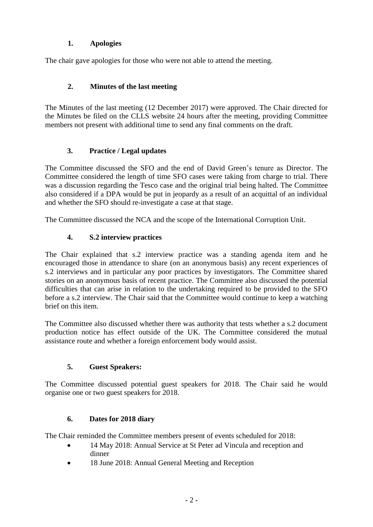## **1. Apologies**

The chair gave apologies for those who were not able to attend the meeting.

## **2. Minutes of the last meeting**

The Minutes of the last meeting (12 December 2017) were approved. The Chair directed for the Minutes be filed on the CLLS website 24 hours after the meeting, providing Committee members not present with additional time to send any final comments on the draft.

# **3. Practice / Legal updates**

The Committee discussed the SFO and the end of David Green's tenure as Director. The Committee considered the length of time SFO cases were taking from charge to trial. There was a discussion regarding the Tesco case and the original trial being halted. The Committee also considered if a DPA would be put in jeopardy as a result of an acquittal of an individual and whether the SFO should re-investigate a case at that stage.

The Committee discussed the NCA and the scope of the International Corruption Unit.

# **4. S.2 interview practices**

The Chair explained that s.2 interview practice was a standing agenda item and he encouraged those in attendance to share (on an anonymous basis) any recent experiences of s.2 interviews and in particular any poor practices by investigators. The Committee shared stories on an anonymous basis of recent practice. The Committee also discussed the potential difficulties that can arise in relation to the undertaking required to be provided to the SFO before a s.2 interview. The Chair said that the Committee would continue to keep a watching brief on this item.

The Committee also discussed whether there was authority that tests whether a s.2 document production notice has effect outside of the UK. The Committee considered the mutual assistance route and whether a foreign enforcement body would assist.

## **5. Guest Speakers:**

The Committee discussed potential guest speakers for 2018. The Chair said he would organise one or two guest speakers for 2018.

## **6. Dates for 2018 diary**

The Chair reminded the Committee members present of events scheduled for 2018:

- 14 May 2018: Annual Service at St Peter ad Vincula and reception and dinner
- 18 June 2018: Annual General Meeting and Reception